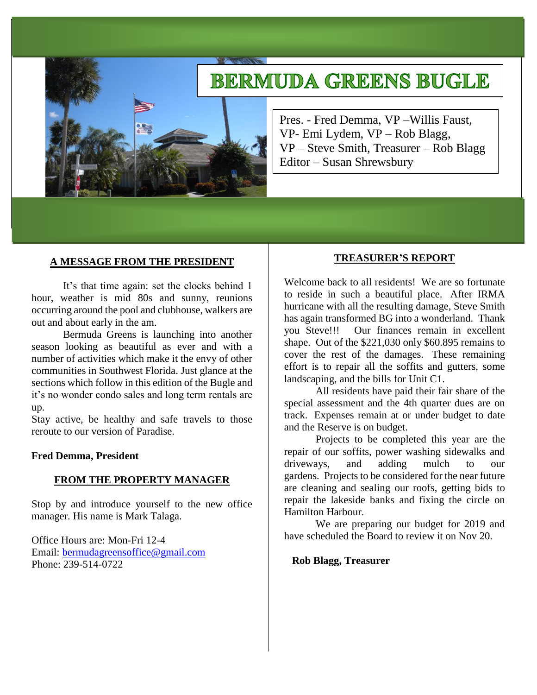# **BERMUDA GREENS BUGLE**



Pres. - Fred Demma, VP –Willis Faust, VP- Emi Lydem, VP – Rob Blagg, VP – Steve Smith, Treasurer – Rob Blagg Editor – Susan Shrewsbury

#### **A MESSAGE FROM THE PRESIDENT**

It's that time again: set the clocks behind 1 hour, weather is mid 80s and sunny, reunions occurring around the pool and clubhouse, walkers are out and about early in the am.

Bermuda Greens is launching into another season looking as beautiful as ever and with a number of activities which make it the envy of other communities in Southwest Florida. Just glance at the sections which follow in this edition of the Bugle and it's no wonder condo sales and long term rentals are up.

Stay active, be healthy and safe travels to those reroute to our version of Paradise.

#### **Fred Demma, President**

#### **FROM THE PROPERTY MANAGER**

Stop by and introduce yourself to the new office manager. His name is Mark Talaga.

Office Hours are: Mon-Fri 12-4 Email: [bermudagreensoffice@gmail.com](mailto:bermudagreensoffice@gmail.com) Phone: 239-514-0722

#### **TREASURER'S REPORT**

Welcome back to all residents! We are so fortunate to reside in such a beautiful place. After IRMA hurricane with all the resulting damage, Steve Smith has again transformed BG into a wonderland. Thank you Steve!!! Our finances remain in excellent shape. Out of the \$221,030 only \$60.895 remains to cover the rest of the damages. These remaining effort is to repair all the soffits and gutters, some landscaping, and the bills for Unit C1.

All residents have paid their fair share of the special assessment and the 4th quarter dues are on track. Expenses remain at or under budget to date and the Reserve is on budget.

Projects to be completed this year are the repair of our soffits, power washing sidewalks and driveways, and adding mulch to our gardens. Projects to be considered for the near future are cleaning and sealing our roofs, getting bids to repair the lakeside banks and fixing the circle on Hamilton Harbour.

We are preparing our budget for 2019 and have scheduled the Board to review it on Nov 20.

**Rob Blagg, Treasurer**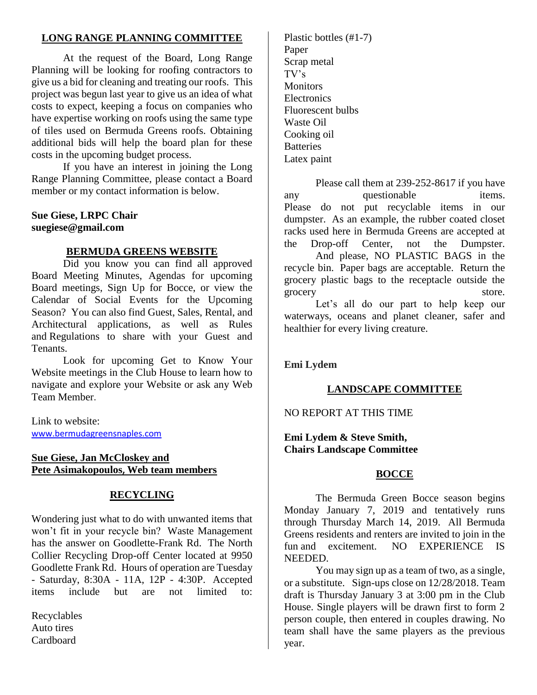## **LONG RANGE PLANNING COMMITTEE**

At the request of the Board, Long Range Planning will be looking for roofing contractors to give us a bid for cleaning and treating our roofs. This project was begun last year to give us an idea of what costs to expect, keeping a focus on companies who have expertise working on roofs using the same type of tiles used on Bermuda Greens roofs. Obtaining additional bids will help the board plan for these costs in the upcoming budget process.

If you have an interest in joining the Long Range Planning Committee, please contact a Board member or my contact information is below.

## **Sue Giese, LRPC Chair suegiese@gmail.com**

## **BERMUDA GREENS WEBSITE**

Did you know you can find all approved Board Meeting Minutes, Agendas for upcoming Board meetings, Sign Up for Bocce, or view the Calendar of Social Events for the Upcoming Season? You can also find Guest, Sales, Rental, and Architectural applications, as well as Rules and Regulations to share with your Guest and Tenants.

Look for upcoming Get to Know Your Website meetings in the Club House to learn how to navigate and explore your Website or ask any Web Team Member.

Link to website: [www.bermudagreensnaples.com](http://www.bermudagreensnaples.com/)

## **Sue Giese, Jan McCloskey and Pete Asimakopoulos, Web team members**

## **RECYCLING**

Wondering just what to do with unwanted items that won't fit in your recycle bin? Waste Management has the answer on Goodlette-Frank Rd. The North Collier Recycling Drop-off Center located at 9950 Goodlette Frank Rd. Hours of operation are Tuesday - Saturday, 8:30A - 11A, 12P - 4:30P. Accepted items include but are not limited to:

Recyclables Auto tires Cardboard

Plastic bottles (#1-7) Paper Scrap metal TV's **Monitors** Electronics Fluorescent bulbs Waste Oil Cooking oil **Batteries** Latex paint

Please call them at 239-252-8617 if you have any questionable items. Please do not put recyclable items in our dumpster. As an example, the rubber coated closet racks used here in Bermuda Greens are accepted at the Drop-off Center, not the Dumpster.

And please, NO PLASTIC BAGS in the recycle bin. Paper bags are acceptable. Return the grocery plastic bags to the receptacle outside the grocery store.

Let's all do our part to help keep our waterways, oceans and planet cleaner, safer and healthier for every living creature.

**Emi Lydem**

## **LANDSCAPE COMMITTEE**

NO REPORT AT THIS TIME

**Emi Lydem & Steve Smith, Chairs Landscape Committee**

## **BOCCE**

The Bermuda Green Bocce season begins Monday January 7, 2019 and tentatively runs through Thursday March 14, 2019. All Bermuda Greens residents and renters are invited to join in the fun and excitement. NO EXPERIENCE IS NEEDED.

You may sign up as a team of two, as a single, or a substitute. Sign-ups close on 12/28/2018. Team draft is Thursday January 3 at 3:00 pm in the Club House. Single players will be drawn first to form 2 person couple, then entered in couples drawing. No team shall have the same players as the previous year.